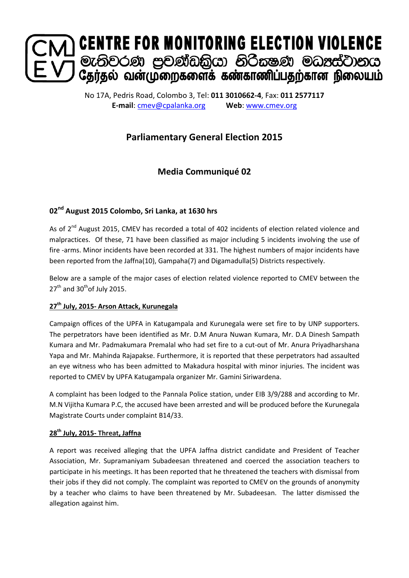

No 17A, Pedris Road, Colombo 3, Tel: **011 3010662-4**, Fax: **011 2577117 E-mail**: [cmev@cpalanka.org](mailto:cmev@cpalanka.org) **Web**: [www.cmev.org](http://www.cmev.org/)

# **Parliamentary General Election 2015**

# **Media Communiqué 02**

## **02nd August 2015 Colombo, Sri Lanka, at 1630 hrs**

As of 2<sup>nd</sup> August 2015, CMEV has recorded a total of 402 incidents of election related violence and malpractices. Of these, 71 have been classified as major including 5 incidents involving the use of fire -arms. Minor incidents have been recorded at 331. The highest numbers of major incidents have been reported from the Jaffna(10), Gampaha(7) and Digamadulla(5) Districts respectively.

Below are a sample of the major cases of election related violence reported to CMEV between the  $27<sup>th</sup>$  and  $30<sup>th</sup>$ of July 2015.

### **27th July, 2015- Arson Attack, Kurunegala**

Campaign offices of the UPFA in Katugampala and Kurunegala were set fire to by UNP supporters. The perpetrators have been identified as Mr. D.M Anura Nuwan Kumara, Mr. D.A Dinesh Sampath Kumara and Mr. Padmakumara Premalal who had set fire to a cut-out of Mr. Anura Priyadharshana Yapa and Mr. Mahinda Rajapakse. Furthermore, it is reported that these perpetrators had assaulted an eye witness who has been admitted to Makadura hospital with minor injuries. The incident was reported to CMEV by UPFA Katugampala organizer Mr. Gamini Siriwardena.

A complaint has been lodged to the Pannala Police station, under EIB 3/9/288 and according to Mr. M.N Vijitha Kumara P.C, the accused have been arrested and will be produced before the Kurunegala Magistrate Courts under complaint B14/33.

### **28th July, 2015- Threat, Jaffna**

A report was received alleging that the UPFA Jaffna district candidate and President of Teacher Association, Mr. Supramaniyam Subadeesan threatened and coerced the association teachers to participate in his meetings. It has been reported that he threatened the teachers with dismissal from their jobs if they did not comply. The complaint was reported to CMEV on the grounds of anonymity by a teacher who claims to have been threatened by Mr. Subadeesan. The latter dismissed the allegation against him.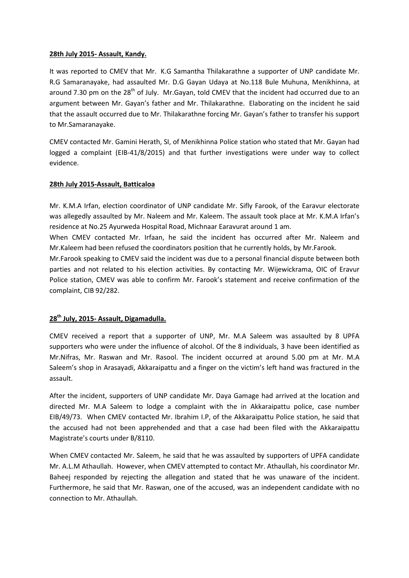#### **28th July 2015- Assault, Kandy.**

It was reported to CMEV that Mr. K.G Samantha Thilakarathne a supporter of UNP candidate Mr. R.G Samaranayake, had assaulted Mr. D.G Gayan Udaya at No.118 Bule Muhuna, Menikhinna, at around 7.30 pm on the  $28<sup>th</sup>$  of July. Mr.Gayan, told CMEV that the incident had occurred due to an argument between Mr. Gayan's father and Mr. Thilakarathne. Elaborating on the incident he said that the assault occurred due to Mr. Thilakarathne forcing Mr. Gayan's father to transfer his support to Mr.Samaranayake.

CMEV contacted Mr. Gamini Herath, SI, of Menikhinna Police station who stated that Mr. Gayan had logged a complaint (EIB-41/8/2015) and that further investigations were under way to collect evidence.

#### **28th July 2015-Assault, Batticaloa**

Mr. K.M.A Irfan, election coordinator of UNP candidate Mr. Sifly Farook, of the Earavur electorate was allegedly assaulted by Mr. Naleem and Mr. Kaleem. The assault took place at Mr. K.M.A Irfan's residence at No.25 Ayurweda Hospital Road, Michnaar Earavurat around 1 am.

When CMEV contacted Mr. Irfaan, he said the incident has occurred after Mr. Naleem and Mr.Kaleem had been refused the coordinators position that he currently holds, by Mr.Farook.

Mr.Farook speaking to CMEV said the incident was due to a personal financial dispute between both parties and not related to his election activities. By contacting Mr. Wijewickrama, OIC of Eravur Police station, CMEV was able to confirm Mr. Farook's statement and receive confirmation of the complaint, CIB 92/282.

#### **28th July, 2015- Assault, Digamadulla.**

CMEV received a report that a supporter of UNP, Mr. M.A Saleem was assaulted by 8 UPFA supporters who were under the influence of alcohol. Of the 8 individuals, 3 have been identified as Mr.Nifras, Mr. Raswan and Mr. Rasool. The incident occurred at around 5.00 pm at Mr. M.A Saleem's shop in Arasayadi, Akkaraipattu and a finger on the victim's left hand was fractured in the assault.

After the incident, supporters of UNP candidate Mr. Daya Gamage had arrived at the location and directed Mr. M.A Saleem to lodge a complaint with the in Akkaraipattu police, case number EIB/49/73. When CMEV contacted Mr. Ibrahim I.P, of the Akkaraipattu Police station, he said that the accused had not been apprehended and that a case had been filed with the Akkaraipattu Magistrate's courts under B/8110.

When CMEV contacted Mr. Saleem, he said that he was assaulted by supporters of UPFA candidate Mr. A.L.M Athaullah. However, when CMEV attempted to contact Mr. Athaullah, his coordinator Mr. Baheej responded by rejecting the allegation and stated that he was unaware of the incident. Furthermore, he said that Mr. Raswan, one of the accused, was an independent candidate with no connection to Mr. Athaullah.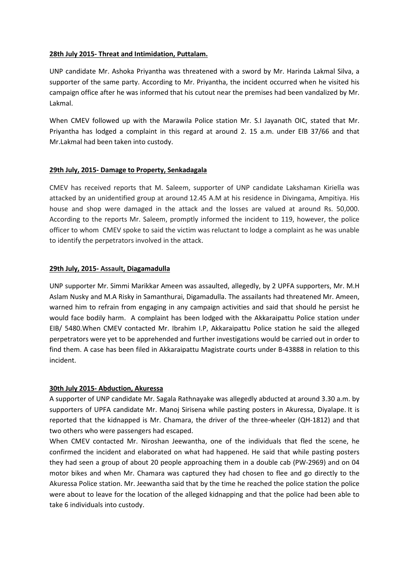#### **28th July 2015- Threat and Intimidation, Puttalam.**

UNP candidate Mr. Ashoka Priyantha was threatened with a sword by Mr. Harinda Lakmal Silva, a supporter of the same party. According to Mr. Priyantha, the incident occurred when he visited his campaign office after he was informed that his cutout near the premises had been vandalized by Mr. Lakmal.

When CMEV followed up with the Marawila Police station Mr. S.I Jayanath OIC, stated that Mr. Priyantha has lodged a complaint in this regard at around 2. 15 a.m. under EIB 37/66 and that Mr.Lakmal had been taken into custody.

#### **29th July, 2015- Damage to Property, Senkadagala**

CMEV has received reports that M. Saleem, supporter of UNP candidate Lakshaman Kiriella was attacked by an unidentified group at around 12.45 A.M at his residence in Divingama, Ampitiya. His house and shop were damaged in the attack and the losses are valued at around Rs. 50,000. According to the reports Mr. Saleem, promptly informed the incident to 119, however, the police officer to whom CMEV spoke to said the victim was reluctant to lodge a complaint as he was unable to identify the perpetrators involved in the attack.

#### **29th July, 2015- Assault, Diagamadulla**

UNP supporter Mr. Simmi Marikkar Ameen was assaulted, allegedly, by 2 UPFA supporters, Mr. M.H Aslam Nusky and M.A Risky in Samanthurai, Digamadulla. The assailants had threatened Mr. Ameen, warned him to refrain from engaging in any campaign activities and said that should he persist he would face bodily harm. A complaint has been lodged with the Akkaraipattu Police station under EIB/ 5480.When CMEV contacted Mr. Ibrahim I.P, Akkaraipattu Police station he said the alleged perpetrators were yet to be apprehended and further investigations would be carried out in order to find them. A case has been filed in Akkaraipattu Magistrate courts under B-43888 in relation to this incident.

#### **30th July 2015- Abduction, Akuressa**

A supporter of UNP candidate Mr. Sagala Rathnayake was allegedly abducted at around 3.30 a.m. by supporters of UPFA candidate Mr. Manoj Sirisena while pasting posters in Akuressa, Diyalape. It is reported that the kidnapped is Mr. Chamara, the driver of the three-wheeler (QH-1812) and that two others who were passengers had escaped.

When CMEV contacted Mr. Niroshan Jeewantha, one of the individuals that fled the scene, he confirmed the incident and elaborated on what had happened. He said that while pasting posters they had seen a group of about 20 people approaching them in a double cab (PW-2969) and on 04 motor bikes and when Mr. Chamara was captured they had chosen to flee and go directly to the Akuressa Police station. Mr. Jeewantha said that by the time he reached the police station the police were about to leave for the location of the alleged kidnapping and that the police had been able to take 6 individuals into custody.